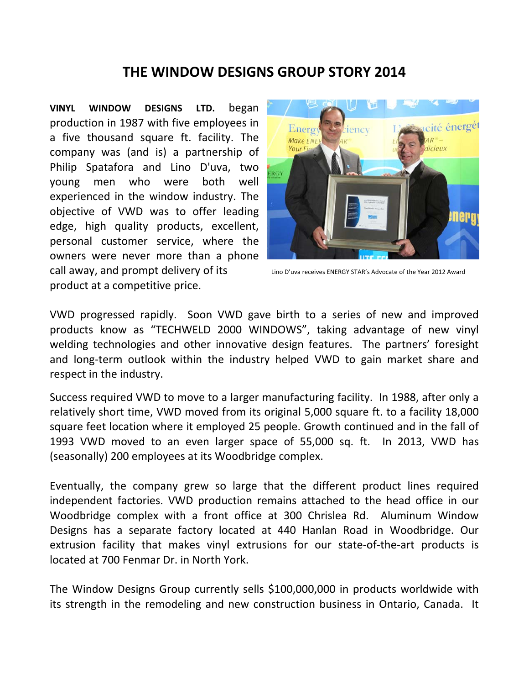## **THE WINDOW DESIGNS GROUP STORY 2014**

**VINYL WINDOW DESIGNS LTD.** began production in 1987 with five employees in a five thousand square ft. facility. The company was (and is) a partnership of Philip Spatafora and Lino D'uva, two young men who were both well experienced in the window industry. The objective of VWD was to offer leading edge, high quality products, excellent, personal customer service, where the owners were never more than a phone call away, and prompt delivery of its Lino D'uva receives ENERGY STAR's Advocate of the Year <sup>2012</sup> Award product at a competitive price.



VWD progressed rapidly. Soon VWD gave birth to a series of new and improved products know as "TECHWELD 2000 WINDOWS", taking advantage of new vinyl welding technologies and other innovative design features. The partners' foresight and long‐term outlook within the industry helped VWD to gain market share and respect in the industry.

Success required VWD to move to a larger manufacturing facility. In 1988, after only a relatively short time, VWD moved from its original 5,000 square ft. to a facility 18,000 square feet location where it employed 25 people. Growth continued and in the fall of 1993 VWD moved to an even larger space of 55,000 sq. ft. In 2013, VWD has (seasonally) 200 employees at its Woodbridge complex.

Eventually, the company grew so large that the different product lines required independent factories. VWD production remains attached to the head office in our Woodbridge complex with a front office at 300 Chrislea Rd. Aluminum Window Designs has a separate factory located at 440 Hanlan Road in Woodbridge. Our extrusion facility that makes vinyl extrusions for our state-of-the-art products is located at 700 Fenmar Dr. in North York.

The Window Designs Group currently sells \$100,000,000 in products worldwide with its strength in the remodeling and new construction business in Ontario, Canada. It